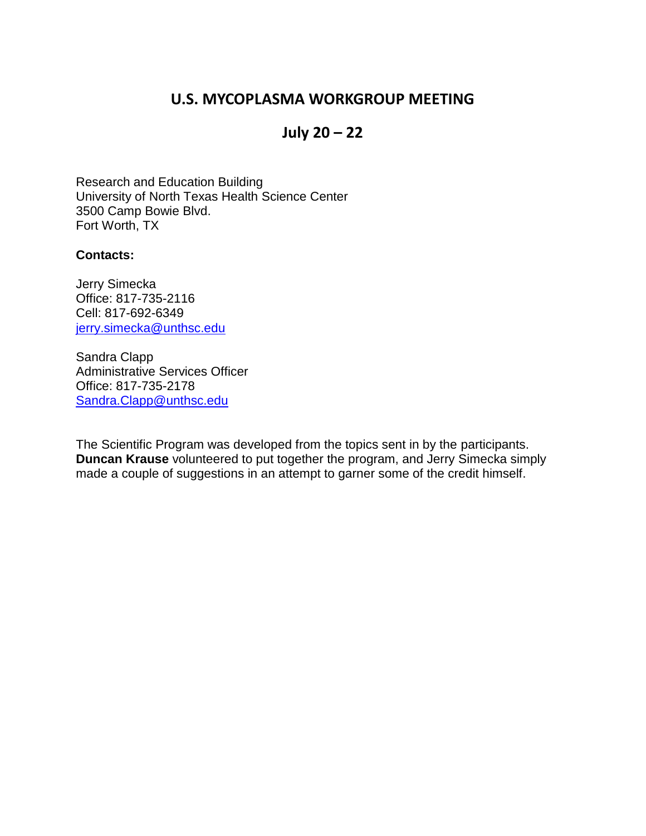# **U.S. MYCOPLASMA WORKGROUP MEETING**

# **July 20 – 22**

Research and Education Building University of North Texas Health Science Center 3500 Camp Bowie Blvd. Fort Worth, TX

#### **Contacts:**

Jerry Simecka Office: 817-735-2116 Cell: 817-692-6349 [jerry.simecka@unthsc.edu](mailto:jerry.simecka@unthsc.edu)

Sandra Clapp Administrative Services Officer Office: 817-735-2178 [Sandra.Clapp@unthsc.edu](mailto:Sandra.Clapp@unthsc.edu)

The Scientific Program was developed from the topics sent in by the participants. **Duncan Krause** volunteered to put together the program, and Jerry Simecka simply made a couple of suggestions in an attempt to garner some of the credit himself.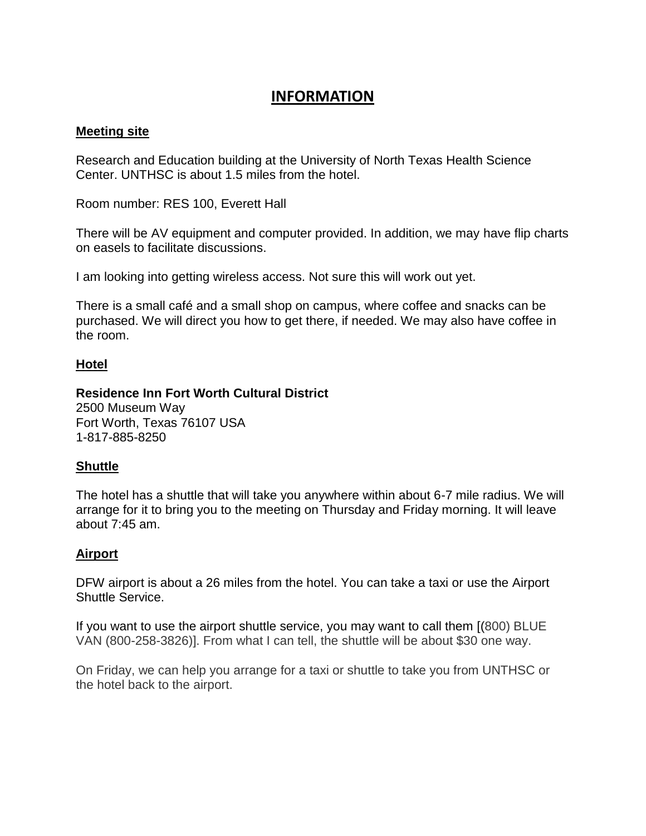## **INFORMATION**

#### **Meeting site**

Research and Education building at the University of North Texas Health Science Center. UNTHSC is about 1.5 miles from the hotel.

Room number: RES 100, Everett Hall

There will be AV equipment and computer provided. In addition, we may have flip charts on easels to facilitate discussions.

I am looking into getting wireless access. Not sure this will work out yet.

There is a small café and a small shop on campus, where coffee and snacks can be purchased. We will direct you how to get there, if needed. We may also have coffee in the room.

#### **Hotel**

### **Residence Inn Fort Worth Cultural District**

2500 Museum Way Fort Worth, Texas 76107 USA 1-817-885-8250

#### **Shuttle**

The hotel has a shuttle that will take you anywhere within about 6-7 mile radius. We will arrange for it to bring you to the meeting on Thursday and Friday morning. It will leave about 7:45 am.

#### **Airport**

DFW airport is about a 26 miles from the hotel. You can take a taxi or use the Airport Shuttle Service.

If you want to use the airport shuttle service, you may want to call them [(800) BLUE VAN (800-258-3826)]. From what I can tell, the shuttle will be about \$30 one way.

On Friday, we can help you arrange for a taxi or shuttle to take you from UNTHSC or the hotel back to the airport.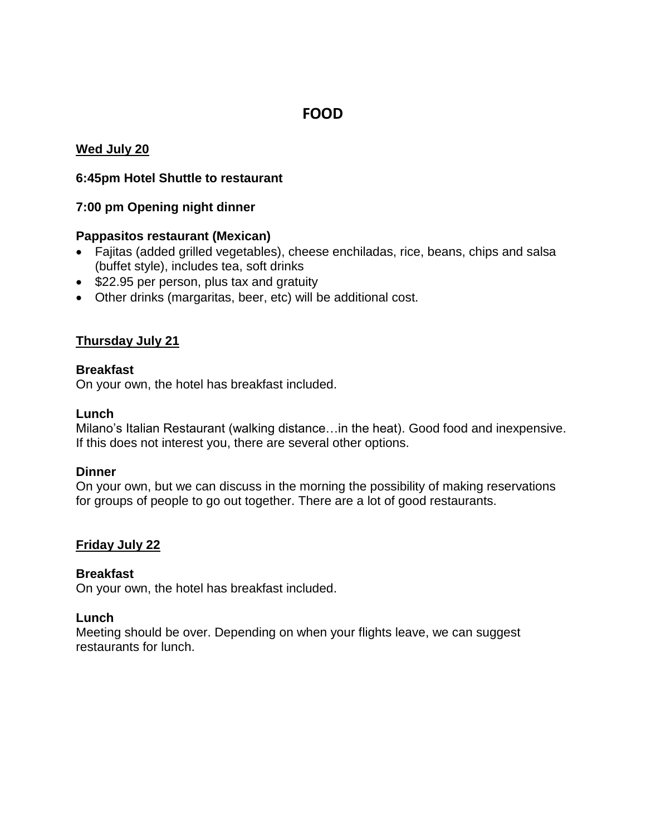# **FOOD**

#### **Wed July 20**

#### **6:45pm Hotel Shuttle to restaurant**

#### **7:00 pm Opening night dinner**

#### **Pappasitos restaurant (Mexican)**

- Fajitas (added grilled vegetables), cheese enchiladas, rice, beans, chips and salsa (buffet style), includes tea, soft drinks
- \$22.95 per person, plus tax and gratuity
- Other drinks (margaritas, beer, etc) will be additional cost.

#### **Thursday July 21**

#### **Breakfast**

On your own, the hotel has breakfast included.

#### **Lunch**

Milano's Italian Restaurant (walking distance…in the heat). Good food and inexpensive. If this does not interest you, there are several other options.

#### **Dinner**

On your own, but we can discuss in the morning the possibility of making reservations for groups of people to go out together. There are a lot of good restaurants.

#### **Friday July 22**

#### **Breakfast**

On your own, the hotel has breakfast included.

#### **Lunch**

Meeting should be over. Depending on when your flights leave, we can suggest restaurants for lunch.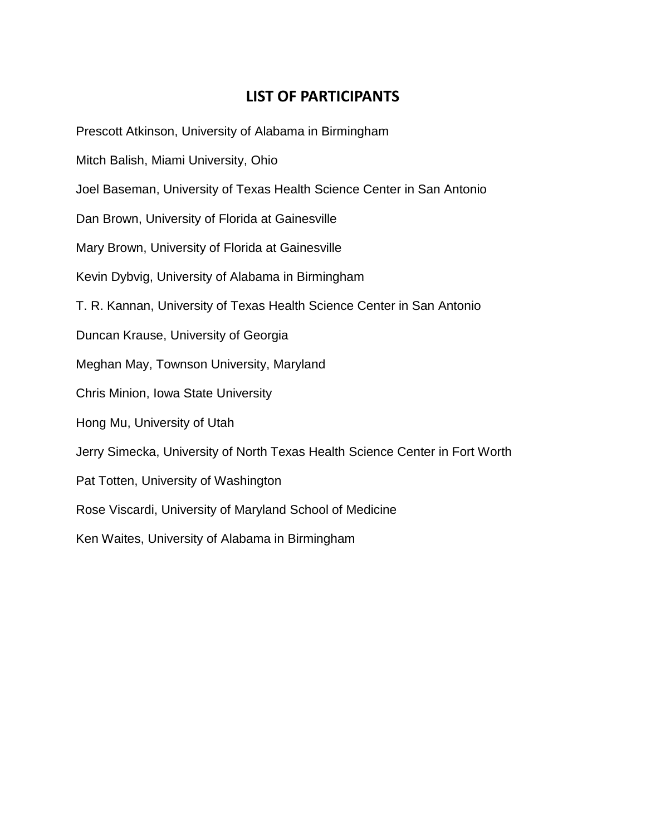# **LIST OF PARTICIPANTS**

Prescott Atkinson, University of Alabama in Birmingham

- Mitch Balish, Miami University, Ohio
- Joel Baseman, University of Texas Health Science Center in San Antonio
- Dan Brown, University of Florida at Gainesville
- Mary Brown, University of Florida at Gainesville
- Kevin Dybvig, University of Alabama in Birmingham
- T. R. Kannan, University of Texas Health Science Center in San Antonio
- Duncan Krause, University of Georgia
- Meghan May, Townson University, Maryland
- Chris Minion, Iowa State University
- Hong Mu, University of Utah
- Jerry Simecka, University of North Texas Health Science Center in Fort Worth
- Pat Totten, University of Washington
- Rose Viscardi, University of Maryland School of Medicine
- Ken Waites, University of Alabama in Birmingham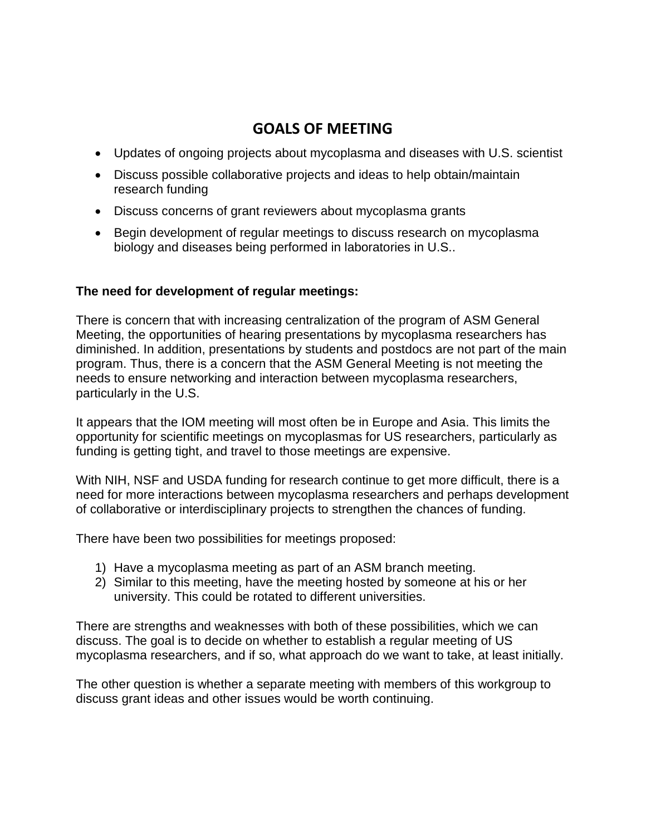# **GOALS OF MEETING**

- Updates of ongoing projects about mycoplasma and diseases with U.S. scientist
- Discuss possible collaborative projects and ideas to help obtain/maintain research funding
- Discuss concerns of grant reviewers about mycoplasma grants
- Begin development of regular meetings to discuss research on mycoplasma biology and diseases being performed in laboratories in U.S..

### **The need for development of regular meetings:**

There is concern that with increasing centralization of the program of ASM General Meeting, the opportunities of hearing presentations by mycoplasma researchers has diminished. In addition, presentations by students and postdocs are not part of the main program. Thus, there is a concern that the ASM General Meeting is not meeting the needs to ensure networking and interaction between mycoplasma researchers, particularly in the U.S.

It appears that the IOM meeting will most often be in Europe and Asia. This limits the opportunity for scientific meetings on mycoplasmas for US researchers, particularly as funding is getting tight, and travel to those meetings are expensive.

With NIH, NSF and USDA funding for research continue to get more difficult, there is a need for more interactions between mycoplasma researchers and perhaps development of collaborative or interdisciplinary projects to strengthen the chances of funding.

There have been two possibilities for meetings proposed:

- 1) Have a mycoplasma meeting as part of an ASM branch meeting.
- 2) Similar to this meeting, have the meeting hosted by someone at his or her university. This could be rotated to different universities.

There are strengths and weaknesses with both of these possibilities, which we can discuss. The goal is to decide on whether to establish a regular meeting of US mycoplasma researchers, and if so, what approach do we want to take, at least initially.

The other question is whether a separate meeting with members of this workgroup to discuss grant ideas and other issues would be worth continuing.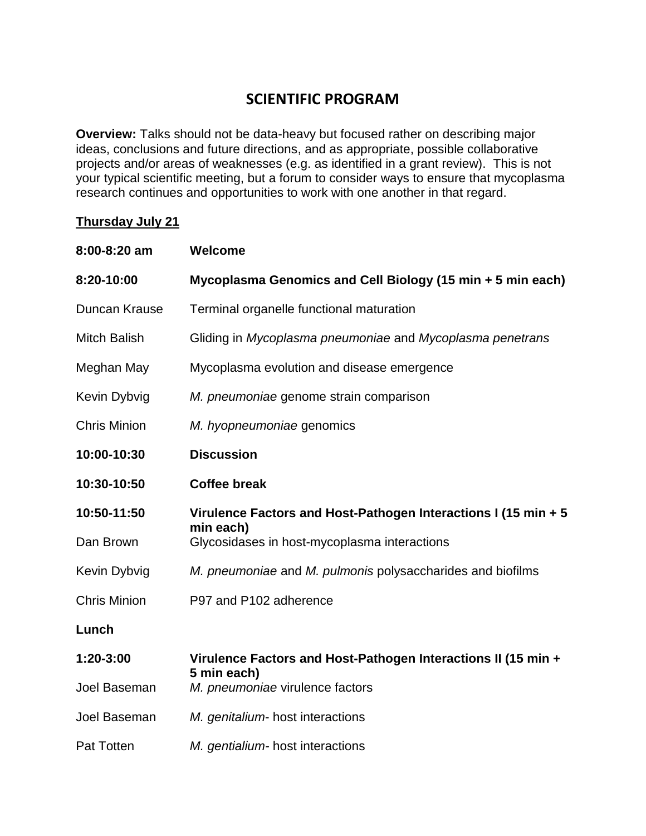# **SCIENTIFIC PROGRAM**

**Overview:** Talks should not be data-heavy but focused rather on describing major ideas, conclusions and future directions, and as appropriate, possible collaborative projects and/or areas of weaknesses (e.g. as identified in a grant review). This is not your typical scientific meeting, but a forum to consider ways to ensure that mycoplasma research continues and opportunities to work with one another in that regard.

#### **Thursday July 21**

| 8:00-8:20 am        | <b>Welcome</b>                                                               |
|---------------------|------------------------------------------------------------------------------|
| 8:20-10:00          | Mycoplasma Genomics and Cell Biology (15 min + 5 min each)                   |
| Duncan Krause       | Terminal organelle functional maturation                                     |
| <b>Mitch Balish</b> | Gliding in Mycoplasma pneumoniae and Mycoplasma penetrans                    |
| Meghan May          | Mycoplasma evolution and disease emergence                                   |
| Kevin Dybvig        | M. pneumoniae genome strain comparison                                       |
| <b>Chris Minion</b> | M. hyopneumoniae genomics                                                    |
| 10:00-10:30         | <b>Discussion</b>                                                            |
| 10:30-10:50         | <b>Coffee break</b>                                                          |
| 10:50-11:50         | Virulence Factors and Host-Pathogen Interactions I (15 min + 5<br>min each)  |
| Dan Brown           | Glycosidases in host-mycoplasma interactions                                 |
| Kevin Dybvig        | M. pneumoniae and M. pulmonis polysaccharides and biofilms                   |
| <b>Chris Minion</b> | P97 and P102 adherence                                                       |
| Lunch               |                                                                              |
| 1:20-3:00           | Virulence Factors and Host-Pathogen Interactions II (15 min +<br>5 min each) |
| Joel Baseman        | M. pneumoniae virulence factors                                              |
| Joel Baseman        | M. genitalium- host interactions                                             |
| <b>Pat Totten</b>   | M. gentialium- host interactions                                             |